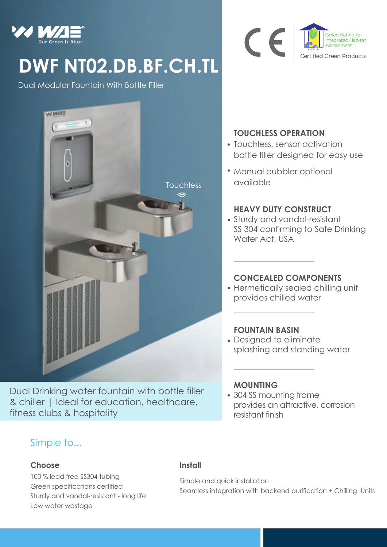

# **DWF NT02.DB.BF.CH.TL**

Dual Modular Fountain With Bottle Filler



Dual Drinking water fountain with bottle filler & chiller | Ideal for education, healthcare, fitness clubs & hospitality

# Simple to...

#### **Choose**

100 % lead free SS304 tubing Green specifications certified Sturdy and vandal-resistant - long life Low water wastage

## **TOUCHLESS OPERATION**

CE

Touchless, sensor activation bottle filler designed for easy use

Integrated Habitat

Certified Green Products

Manual bubbler optional available

### **HEAVY DUTY CONSTRUCT**

Sturdy and vandal-resistant SS 304 confirming to Safe Drinking Water Act, USA

#### **CONCEALED COMPONENTS**

Hermetically sealed chilling unit provides chilled water

#### **FOUNTAIN BASIN**

Designed to eliminate splashing and standing water

#### **MOUNTING**

304 SS mounting frame provides an attractive, corrosion resistant finish

#### **Install**

Simple and quick installation Seamless integration with backend purification + Chilling Units